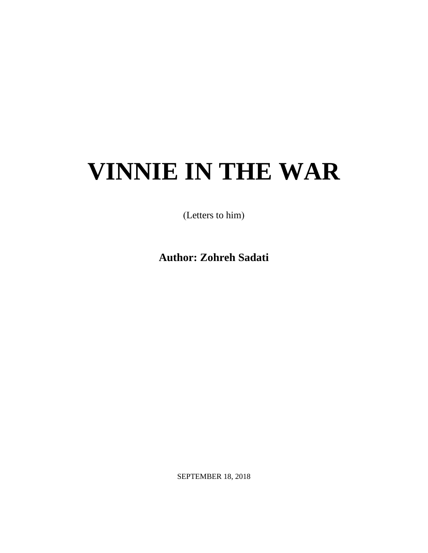# **VINNIE IN THE WAR**

(Letters to him)

**Author: Zohreh Sadati**

SEPTEMBER 18, 2018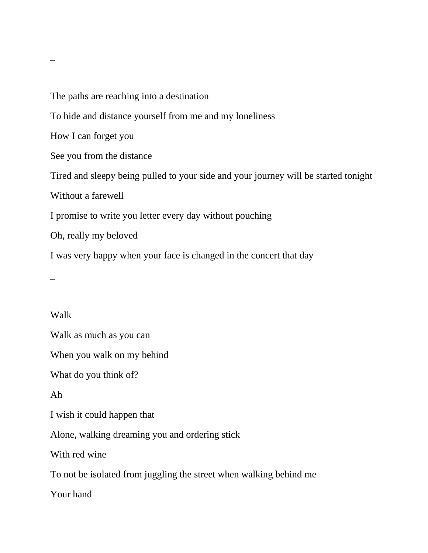The paths are reaching into a destination To hide and distance yourself from me and my loneliness How I can forget you See you from the distance Tired and sleepy being pulled to your side and your journey will be started tonight Without a farewell I promise to write you letter every day without pouching Oh, really my beloved I was very happy when your face is changed in the concert that day  $\overline{a}$ 

#### Walk

 $\overline{a}$ 

Walk as much as you can

When you walk on my behind

What do you think of?

Ah

I wish it could happen that

Alone, walking dreaming you and ordering stick

With red wine

To not be isolated from juggling the street when walking behind me

Your hand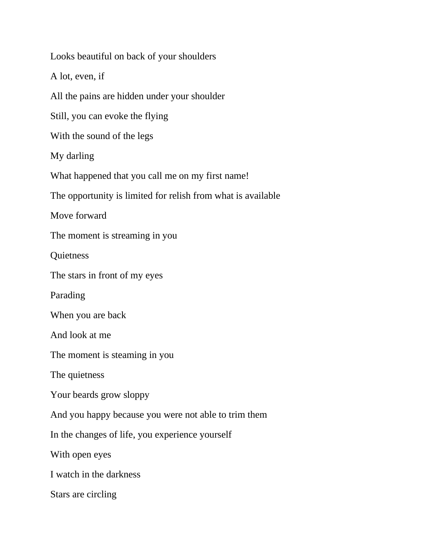Looks beautiful on back of your shoulders A lot, even, if All the pains are hidden under your shoulder Still, you can evoke the flying With the sound of the legs My darling What happened that you call me on my first name! The opportunity is limited for relish from what is available Move forward The moment is streaming in you **Quietness** The stars in front of my eyes Parading When you are back And look at me The moment is steaming in you The quietness Your beards grow sloppy And you happy because you were not able to trim them In the changes of life, you experience yourself With open eyes I watch in the darkness Stars are circling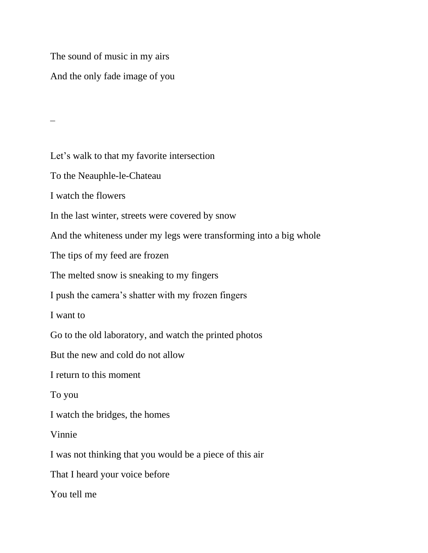The sound of music in my airs And the only fade image of you

Let's walk to that my favorite intersection To the Neauphle-le-Chateau I watch the flowers In the last winter, streets were covered by snow And the whiteness under my legs were transforming into a big whole The tips of my feed are frozen The melted snow is sneaking to my fingers I push the camera's shatter with my frozen fingers I want to Go to the old laboratory, and watch the printed photos But the new and cold do not allow I return to this moment To you I watch the bridges, the homes Vinnie I was not thinking that you would be a piece of this air That I heard your voice before You tell me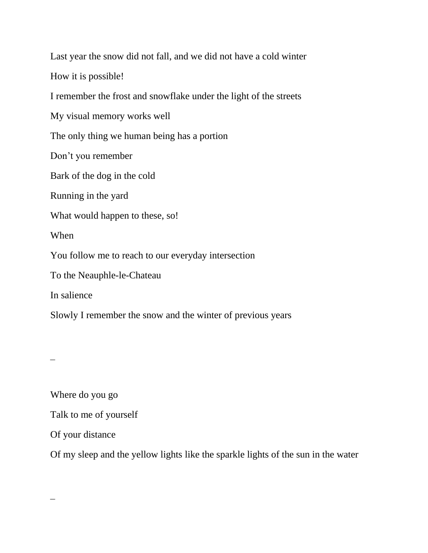Last year the snow did not fall, and we did not have a cold winter How it is possible! I remember the frost and snowflake under the light of the streets My visual memory works well The only thing we human being has a portion Don't you remember Bark of the dog in the cold Running in the yard What would happen to these, so! When You follow me to reach to our everyday intersection To the Neauphle-le-Chateau In salience Slowly I remember the snow and the winter of previous years

 $\overline{\phantom{a}}$ 

 $\overline{\phantom{a}}$ 

Where do you go Talk to me of yourself Of your distance Of my sleep and the yellow lights like the sparkle lights of the sun in the water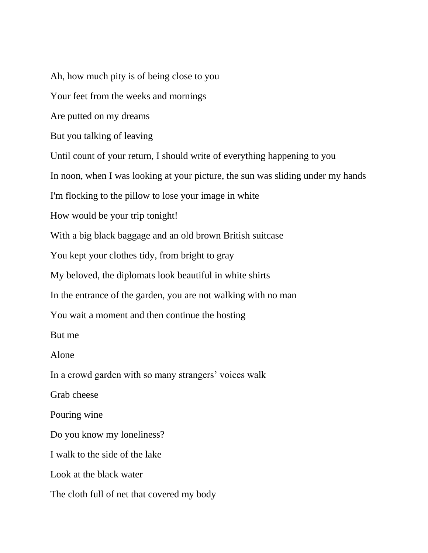Ah, how much pity is of being close to you Your feet from the weeks and mornings Are putted on my dreams But you talking of leaving Until count of your return, I should write of everything happening to you In noon, when I was looking at your picture, the sun was sliding under my hands I'm flocking to the pillow to lose your image in white How would be your trip tonight! With a big black baggage and an old brown British suitcase You kept your clothes tidy, from bright to gray My beloved, the diplomats look beautiful in white shirts In the entrance of the garden, you are not walking with no man You wait a moment and then continue the hosting But me Alone In a crowd garden with so many strangers' voices walk Grab cheese Pouring wine Do you know my loneliness? I walk to the side of the lake Look at the black water The cloth full of net that covered my body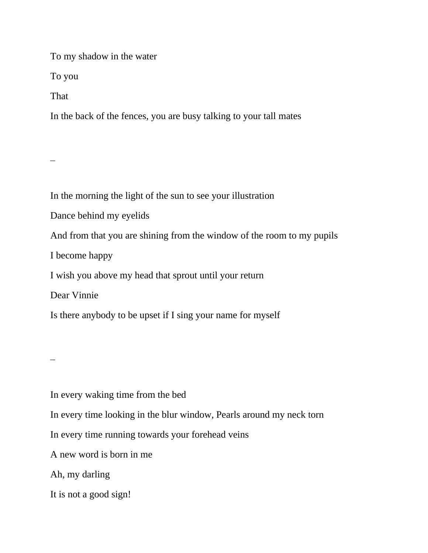To my shadow in the water

To you

That

In the back of the fences, you are busy talking to your tall mates

In the morning the light of the sun to see your illustration

Dance behind my eyelids

And from that you are shining from the window of the room to my pupils

I become happy

I wish you above my head that sprout until your return

Dear Vinnie

Is there anybody to be upset if I sing your name for myself

 $\overline{\phantom{a}}$ 

In every waking time from the bed

In every time looking in the blur window, Pearls around my neck torn

In every time running towards your forehead veins

A new word is born in me

Ah, my darling

It is not a good sign!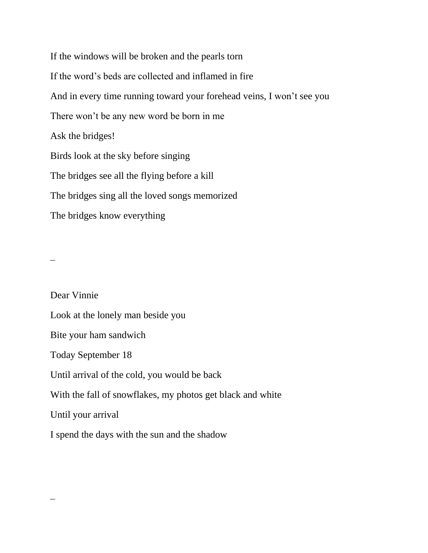If the windows will be broken and the pearls torn If the word's beds are collected and inflamed in fire And in every time running toward your forehead veins, I won't see you There won't be any new word be born in me Ask the bridges! Birds look at the sky before singing The bridges see all the flying before a kill The bridges sing all the loved songs memorized The bridges know everything

 $\overline{\phantom{a}}$ 

Dear Vinnie Look at the lonely man beside you Bite your ham sandwich Today September 18 Until arrival of the cold, you would be back With the fall of snowflakes, my photos get black and white Until your arrival I spend the days with the sun and the shadow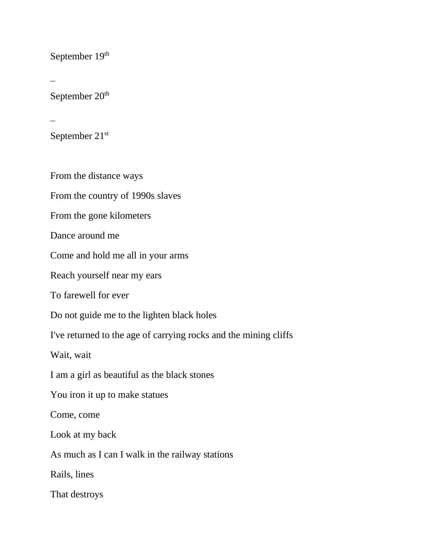September 19th

September 20<sup>th</sup>

September 21st

From the distance ways

From the country of 1990s slaves

From the gone kilometers

Dance around me

Come and hold me all in your arms

Reach yourself near my ears

To farewell for ever

Do not guide me to the lighten black holes

I've returned to the age of carrying rocks and the mining cliffs

Wait, wait

I am a girl as beautiful as the black stones

You iron it up to make statues

Come, come

Look at my back

As much as I can I walk in the railway stations

Rails, lines

That destroys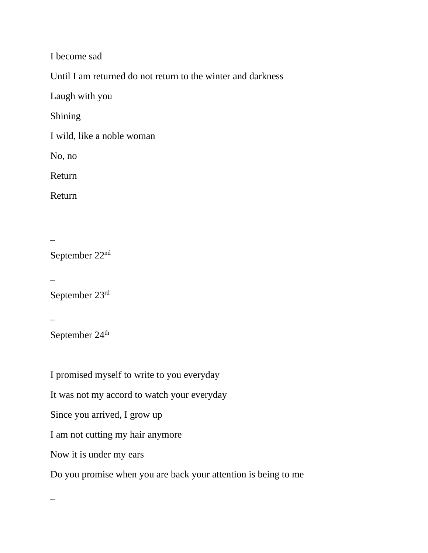I become sad

Until I am returned do not return to the winter and darkness

Laugh with you

Shining

I wild, like a noble woman

No, no

Return

Return

 $\overline{\phantom{a}}$ 

September 22nd

 $\overline{\phantom{a}}$ 

September 23rd

 $\overline{\phantom{a}}$ 

September 24<sup>th</sup>

I promised myself to write to you everyday It was not my accord to watch your everyday Since you arrived, I grow up I am not cutting my hair anymore Now it is under my ears Do you promise when you are back your attention is being to me

 $\overline{\phantom{a}}$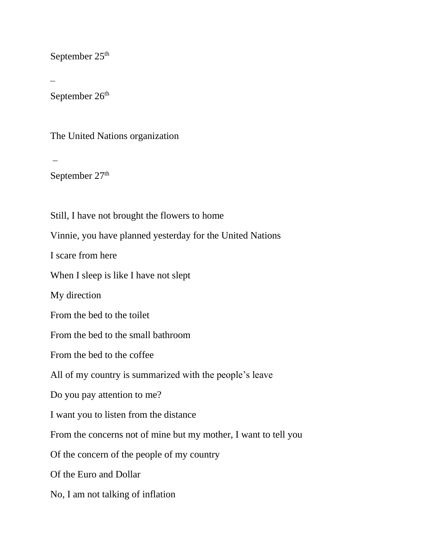September 25<sup>th</sup>

September 26<sup>th</sup>

The United Nations organization

September 27<sup>th</sup>

Still, I have not brought the flowers to home Vinnie, you have planned yesterday for the United Nations I scare from here When I sleep is like I have not slept My direction From the bed to the toilet From the bed to the small bathroom From the bed to the coffee All of my country is summarized with the people's leave Do you pay attention to me? I want you to listen from the distance From the concerns not of mine but my mother, I want to tell you Of the concern of the people of my country Of the Euro and Dollar No, I am not talking of inflation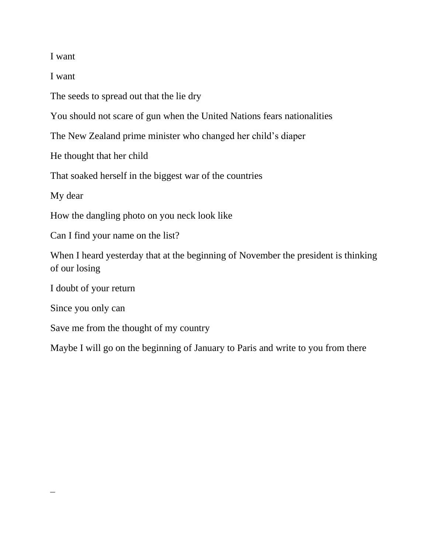I want

I want

The seeds to spread out that the lie dry

You should not scare of gun when the United Nations fears nationalities

The New Zealand prime minister who changed her child's diaper

He thought that her child

That soaked herself in the biggest war of the countries

My dear

How the dangling photo on you neck look like

Can I find your name on the list?

When I heard yesterday that at the beginning of November the president is thinking of our losing

I doubt of your return

Since you only can

Save me from the thought of my country

Maybe I will go on the beginning of January to Paris and write to you from there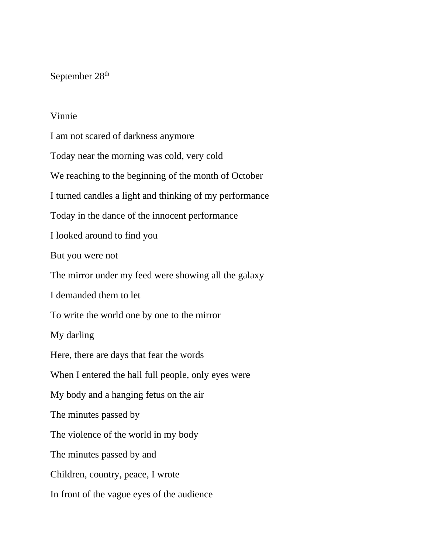#### September 28<sup>th</sup>

#### Vinnie

I am not scared of darkness anymore Today near the morning was cold, very cold We reaching to the beginning of the month of October I turned candles a light and thinking of my performance Today in the dance of the innocent performance I looked around to find you But you were not The mirror under my feed were showing all the galaxy I demanded them to let To write the world one by one to the mirror My darling Here, there are days that fear the words When I entered the hall full people, only eyes were My body and a hanging fetus on the air The minutes passed by The violence of the world in my body The minutes passed by and Children, country, peace, I wrote In front of the vague eyes of the audience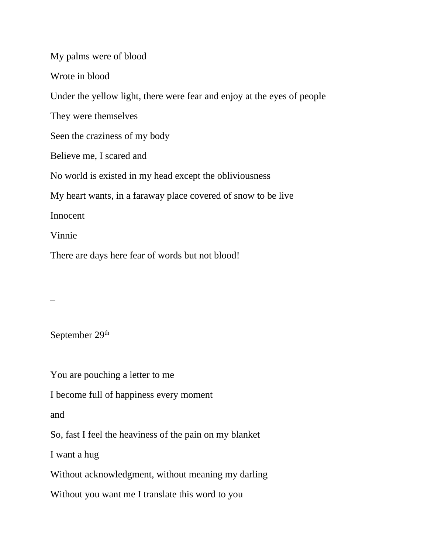My palms were of blood Wrote in blood Under the yellow light, there were fear and enjoy at the eyes of people They were themselves Seen the craziness of my body Believe me, I scared and No world is existed in my head except the obliviousness My heart wants, in a faraway place covered of snow to be live Innocent Vinnie There are days here fear of words but not blood!

 $\overline{\phantom{a}}$ 

September 29<sup>th</sup>

You are pouching a letter to me

I become full of happiness every moment

and

So, fast I feel the heaviness of the pain on my blanket

I want a hug

Without acknowledgment, without meaning my darling

Without you want me I translate this word to you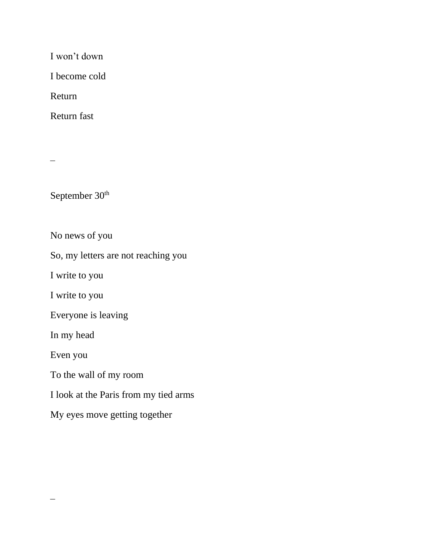I won't down

I become cold

Return

Return fast

September 30<sup>th</sup>

No news of you

So, my letters are not reaching you

I write to you

I write to you

Everyone is leaving

In my head

Even you

 $\overline{\phantom{a}}$ 

To the wall of my room

I look at the Paris from my tied arms

My eyes move getting together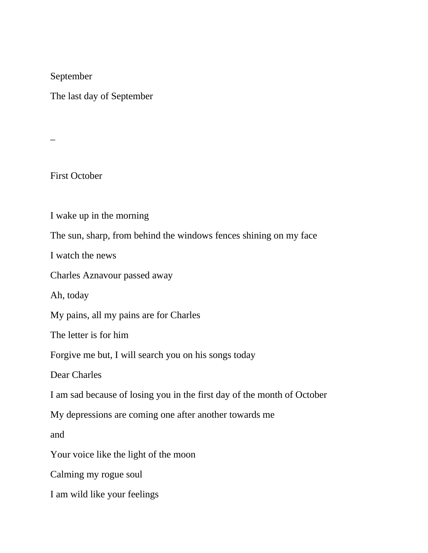September

The last day of September

 $\overline{a}$ 

First October

I wake up in the morning

The sun, sharp, from behind the windows fences shining on my face

I watch the news

Charles Aznavour passed away

Ah, today

My pains, all my pains are for Charles

The letter is for him

Forgive me but, I will search you on his songs today

Dear Charles

I am sad because of losing you in the first day of the month of October

My depressions are coming one after another towards me

and

Your voice like the light of the moon

Calming my rogue soul

I am wild like your feelings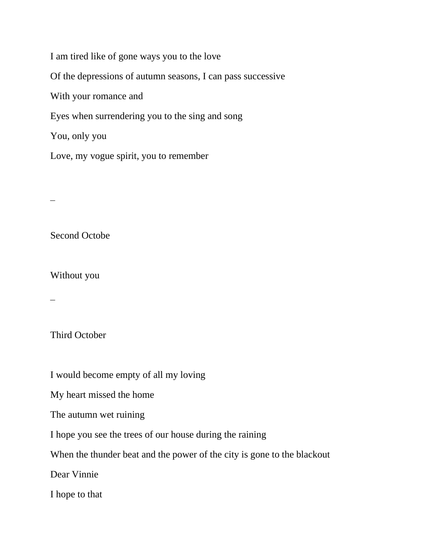I am tired like of gone ways you to the love Of the depressions of autumn seasons, I can pass successive With your romance and Eyes when surrendering you to the sing and song You, only you Love, my vogue spirit, you to remember

Second Octobe

Without you

 $\overline{\phantom{a}}$ 

Third October

I would become empty of all my loving

My heart missed the home

The autumn wet ruining

I hope you see the trees of our house during the raining

When the thunder beat and the power of the city is gone to the blackout

Dear Vinnie

I hope to that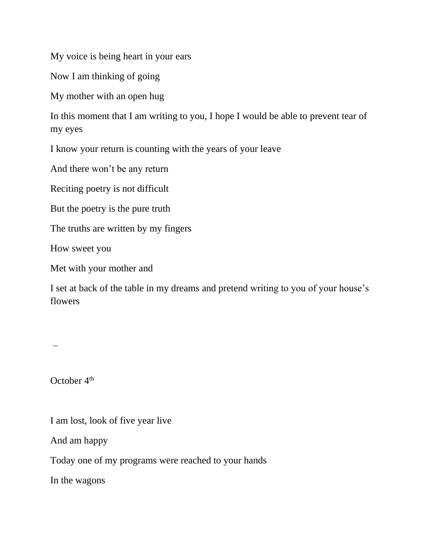My voice is being heart in your ears

Now I am thinking of going

My mother with an open hug

In this moment that I am writing to you, I hope I would be able to prevent tear of my eyes

I know your return is counting with the years of your leave

And there won't be any return

Reciting poetry is not difficult

But the poetry is the pure truth

The truths are written by my fingers

How sweet you

Met with your mother and

I set at back of the table in my dreams and pretend writing to you of your house's flowers

 $\overline{\phantom{a}}$ 

October 4<sup>th</sup>

I am lost, look of five year live

And am happy

Today one of my programs were reached to your hands

In the wagons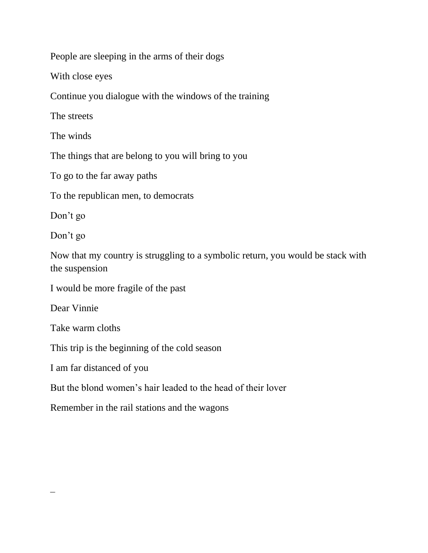People are sleeping in the arms of their dogs

With close eyes

Continue you dialogue with the windows of the training

The streets

The winds

The things that are belong to you will bring to you

To go to the far away paths

To the republican men, to democrats

Don't go

Don't go

Now that my country is struggling to a symbolic return, you would be stack with the suspension

I would be more fragile of the past

Dear Vinnie

Take warm cloths

This trip is the beginning of the cold season

I am far distanced of you

But the blond women's hair leaded to the head of their lover

Remember in the rail stations and the wagons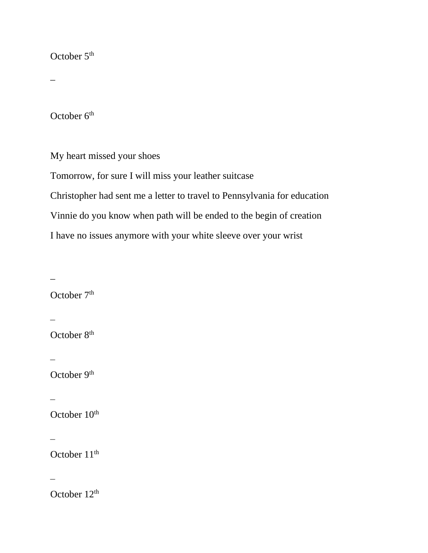#### October 5<sup>th</sup>

 $\overline{a}$ 

October 6<sup>th</sup>

My heart missed your shoes

Tomorrow, for sure I will miss your leather suitcase Christopher had sent me a letter to travel to Pennsylvania for education Vinnie do you know when path will be ended to the begin of creation I have no issues anymore with your white sleeve over your wrist

 $\overline{a}$ 

October 7<sup>th</sup>

 $\overline{\phantom{a}}$ 

October 8<sup>th</sup>

 $\overline{\phantom{a}}$ 

October 9<sup>th</sup>

 $\overline{\phantom{a}}$ 

October 10<sup>th</sup>

 $\overline{\phantom{a}}$ 

October 11<sup>th</sup>

 $\overline{\phantom{a}}$ 

October 12<sup>th</sup>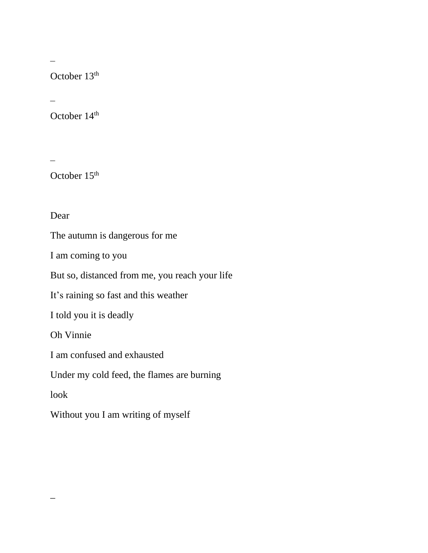October 13<sup>th</sup>

October 14<sup>th</sup>

October 15<sup>th</sup>

Dear

The autumn is dangerous for me

I am coming to you

But so, distanced from me, you reach your life

It's raining so fast and this weather

I told you it is deadly

Oh Vinnie

I am confused and exhausted

Under my cold feed, the flames are burning

look

 $\overline{a}$ 

Without you I am writing of myself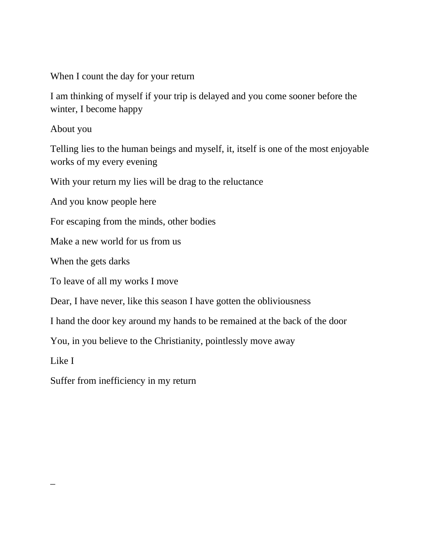When I count the day for your return

I am thinking of myself if your trip is delayed and you come sooner before the winter, I become happy

About you

Telling lies to the human beings and myself, it, itself is one of the most enjoyable works of my every evening

With your return my lies will be drag to the reluctance

And you know people here

For escaping from the minds, other bodies

Make a new world for us from us

When the gets darks

To leave of all my works I move

Dear, I have never, like this season I have gotten the obliviousness

I hand the door key around my hands to be remained at the back of the door

You, in you believe to the Christianity, pointlessly move away

Like I

 $\overline{a}$ 

Suffer from inefficiency in my return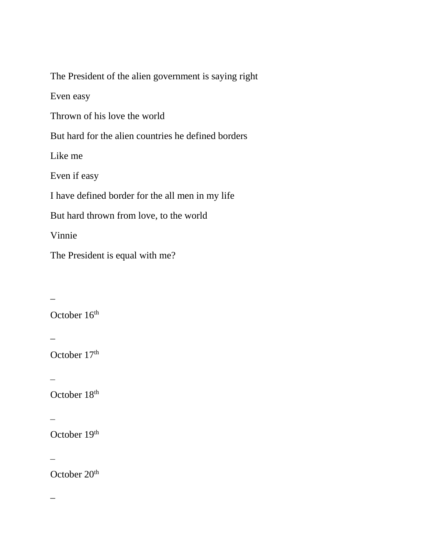The President of the alien government is saying right

Even easy

Thrown of his love the world

But hard for the alien countries he defined borders

Like me

Even if easy

I have defined border for the all men in my life

But hard thrown from love, to the world

Vinnie

The President is equal with me?

 $\overline{a}$ October 16<sup>th</sup>  $\overline{a}$ October 17<sup>th</sup>  $\overline{\phantom{a}}$ October 18<sup>th</sup>  $\overline{\phantom{a}}$ 

October 19th

 $\overline{\phantom{a}}$ 

October 20<sup>th</sup>

 $\overline{\phantom{0}}$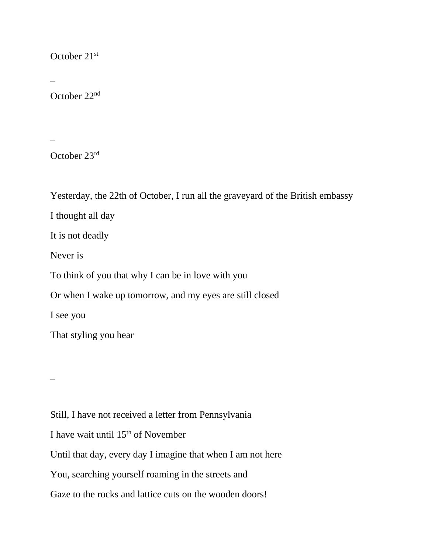### October 21st

October 22nd

October 23rd

Yesterday, the 22th of October, I run all the graveyard of the British embassy

I thought all day

It is not deadly

Never is

To think of you that why I can be in love with you

Or when I wake up tomorrow, and my eyes are still closed

I see you

That styling you hear

 $\overline{\phantom{a}}$ 

Still, I have not received a letter from Pennsylvania I have wait until 15th of November Until that day, every day I imagine that when I am not here You, searching yourself roaming in the streets and Gaze to the rocks and lattice cuts on the wooden doors!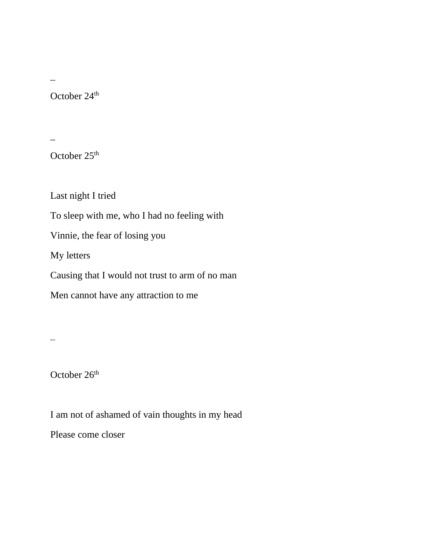$\overline{a}$ 

October 24<sup>th</sup>

 $\overline{a}$ 

October 25<sup>th</sup>

Last night I tried

To sleep with me, who I had no feeling with

Vinnie, the fear of losing you

My letters

Causing that I would not trust to arm of no man

Men cannot have any attraction to me

 $\overline{\phantom{a}}$ 

October 26<sup>th</sup>

I am not of ashamed of vain thoughts in my head

Please come closer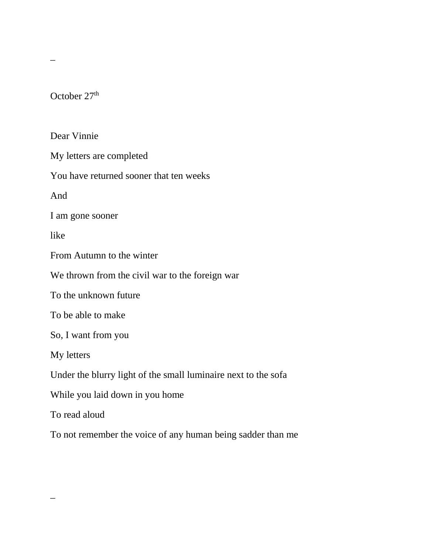October 27<sup>th</sup>

 $\overline{a}$ 

 $\overline{a}$ 

Dear Vinnie My letters are completed You have returned sooner that ten weeks And I am gone sooner like From Autumn to the winter We thrown from the civil war to the foreign war To the unknown future To be able to make So, I want from you My letters Under the blurry light of the small luminaire next to the sofa While you laid down in you home To read aloud

To not remember the voice of any human being sadder than me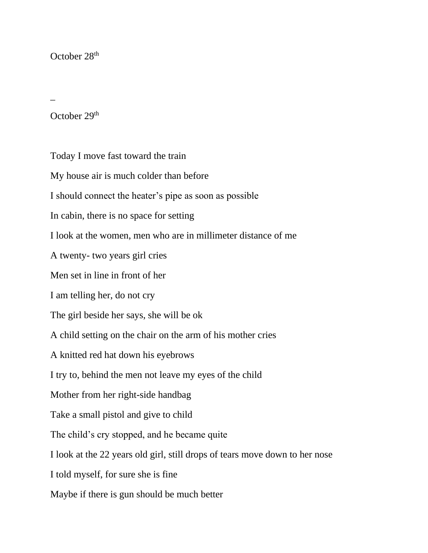#### October 28<sup>th</sup>

 $\overline{a}$ 

October 29th

Today I move fast toward the train My house air is much colder than before I should connect the heater's pipe as soon as possible In cabin, there is no space for setting I look at the women, men who are in millimeter distance of me A twenty- two years girl cries Men set in line in front of her I am telling her, do not cry The girl beside her says, she will be ok A child setting on the chair on the arm of his mother cries A knitted red hat down his eyebrows I try to, behind the men not leave my eyes of the child Mother from her right-side handbag Take a small pistol and give to child The child's cry stopped, and he became quite I look at the 22 years old girl, still drops of tears move down to her nose I told myself, for sure she is fine Maybe if there is gun should be much better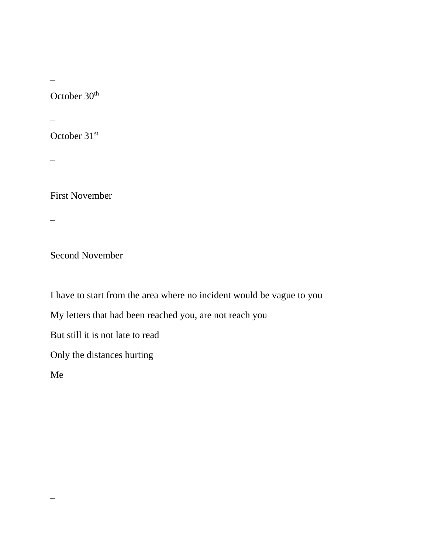$\overline{a}$ 

October 30<sup>th</sup>

October 31st

 $\overline{\phantom{0}}$ 

First November

 $\overline{\phantom{0}}$ 

Second November

I have to start from the area where no incident would be vague to you

My letters that had been reached you, are not reach you

But still it is not late to read

Only the distances hurting

Me

 $\overline{a}$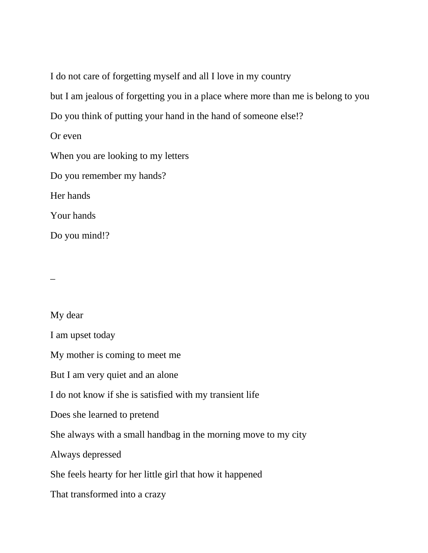I do not care of forgetting myself and all I love in my country

but I am jealous of forgetting you in a place where more than me is belong to you

Do you think of putting your hand in the hand of someone else!?

Or even

When you are looking to my letters

Do you remember my hands?

Her hands

Your hands

Do you mind!?

 $\overline{a}$ 

My dear

I am upset today

My mother is coming to meet me

But I am very quiet and an alone

I do not know if she is satisfied with my transient life

Does she learned to pretend

She always with a small handbag in the morning move to my city

Always depressed

She feels hearty for her little girl that how it happened

That transformed into a crazy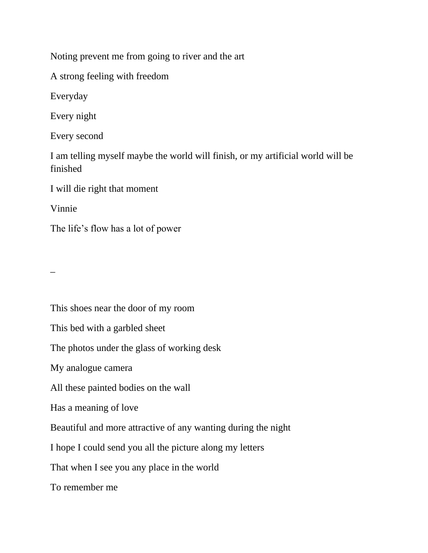Noting prevent me from going to river and the art

A strong feeling with freedom

Everyday

Every night

Every second

I am telling myself maybe the world will finish, or my artificial world will be finished

I will die right that moment

Vinnie

The life's flow has a lot of power

 $\overline{a}$ 

This shoes near the door of my room This bed with a garbled sheet The photos under the glass of working desk My analogue camera All these painted bodies on the wall Has a meaning of love Beautiful and more attractive of any wanting during the night I hope I could send you all the picture along my letters That when I see you any place in the world To remember me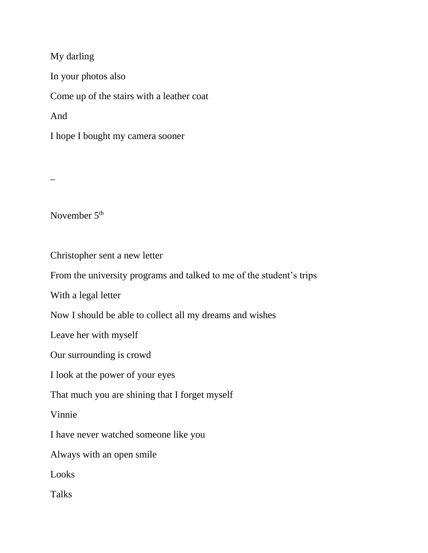My darling In your photos also Come up of the stairs with a leather coat And I hope I bought my camera sooner

\_

November 5<sup>th</sup>

Christopher sent a new letter

From the university programs and talked to me of the student's trips

With a legal letter

Now I should be able to collect all my dreams and wishes

Leave her with myself

Our surrounding is crowd

I look at the power of your eyes

That much you are shining that I forget myself

Vinnie

I have never watched someone like you

Always with an open smile

Looks

Talks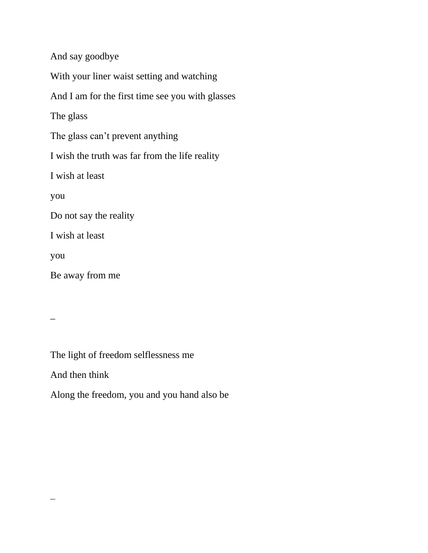And say goodbye With your liner waist setting and watching And I am for the first time see you with glasses The glass The glass can't prevent anything I wish the truth was far from the life reality I wish at least you Do not say the reality I wish at least you Be away from me

 $\overline{a}$ 

 $\overline{\phantom{a}}$ 

The light of freedom selflessness me

And then think

Along the freedom, you and you hand also be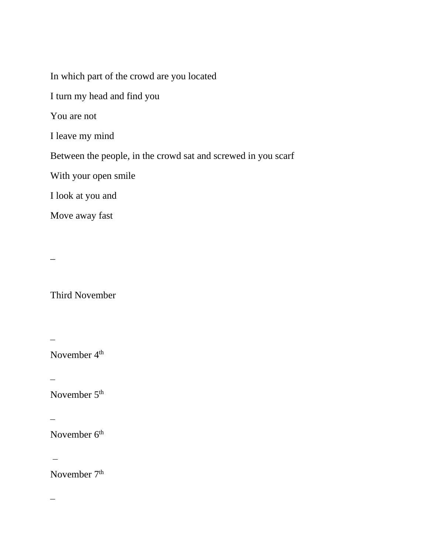In which part of the crowd are you located I turn my head and find you You are not I leave my mind Between the people, in the crowd sat and screwed in you scarf With your open smile I look at you and Move away fast

\_

Third November

November 4<sup>th</sup>

 $\overline{\phantom{a}}$ 

 $\overline{\phantom{a}}$ 

November 5<sup>th</sup>

 $\overline{\phantom{a}}$ 

November 6<sup>th</sup>

 $\overline{\phantom{0}}$ 

November 7<sup>th</sup>

 $\overline{\phantom{0}}$